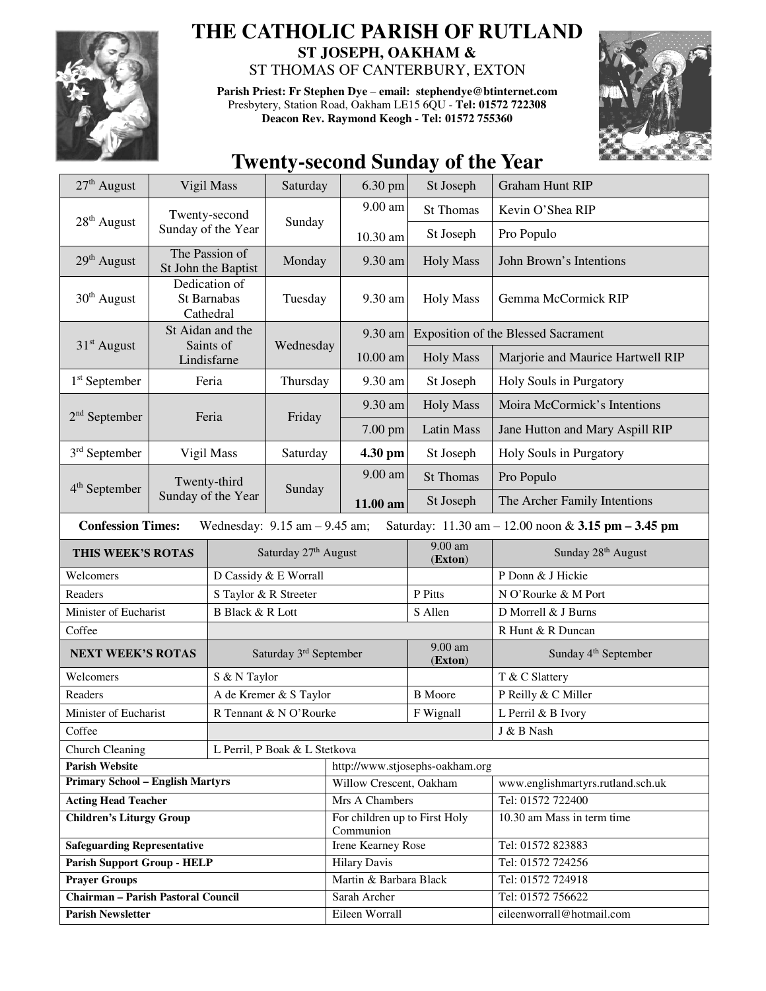

## **THE CATHOLIC PARISH OF RUTLAND ST JOSEPH, OAKHAM &**  ST THOMAS OF CANTERBURY, EXTON

**Parish Priest: Fr Stephen Dye** – **email: stephendye@btinternet.com** Presbytery, Station Road, Oakham LE15 6QU - **Tel: 01572 722308 Deacon Rev. Raymond Keogh - Tel: 01572 755360** 



## **Twenty-second Sunday of the Year**

| 27 <sup>th</sup> August                                                                                                                                | Vigil Mass                                |                                       | Saturday  | 6.30 pm                                    | St Joseph           | <b>Graham Hunt RIP</b>              |  |
|--------------------------------------------------------------------------------------------------------------------------------------------------------|-------------------------------------------|---------------------------------------|-----------|--------------------------------------------|---------------------|-------------------------------------|--|
|                                                                                                                                                        | Twenty-second                             |                                       |           | 9.00 am                                    | <b>St Thomas</b>    | Kevin O'Shea RIP                    |  |
| $28th$ August                                                                                                                                          |                                           | Sunday of the Year                    | Sunday    | 10.30 am                                   | St Joseph           | Pro Populo                          |  |
| 29 <sup>th</sup> August                                                                                                                                |                                           | The Passion of<br>St John the Baptist | Monday    | 9.30 am                                    | <b>Holy Mass</b>    | John Brown's Intentions             |  |
| $30th$ August                                                                                                                                          | Dedication of<br>St Barnabas<br>Cathedral |                                       | Tuesday   | 9.30 am                                    | <b>Holy Mass</b>    | Gemma McCormick RIP                 |  |
| $31st$ August                                                                                                                                          |                                           | St Aidan and the<br>Saints of         |           | 9.30 am                                    |                     | Exposition of the Blessed Sacrament |  |
|                                                                                                                                                        |                                           | Lindisfarne                           | Wednesday | 10.00 am                                   | <b>Holy Mass</b>    | Marjorie and Maurice Hartwell RIP   |  |
| $1st$ September                                                                                                                                        | Feria                                     |                                       | Thursday  | 9.30 am                                    | St Joseph           | Holy Souls in Purgatory             |  |
|                                                                                                                                                        | Feria                                     |                                       | Friday    | 9.30 am                                    | <b>Holy Mass</b>    | Moira McCormick's Intentions        |  |
| $2nd$ September                                                                                                                                        |                                           |                                       |           | 7.00 pm                                    | <b>Latin Mass</b>   | Jane Hutton and Mary Aspill RIP     |  |
| $3rd$ September                                                                                                                                        | Vigil Mass                                |                                       | Saturday  | 4.30 pm                                    | St Joseph           | Holy Souls in Purgatory             |  |
|                                                                                                                                                        | Twenty-third<br>Sunday of the Year        |                                       | Sunday    | 9.00 am                                    | <b>St Thomas</b>    | Pro Populo                          |  |
| 4 <sup>th</sup> September                                                                                                                              |                                           |                                       |           | 11.00 am                                   | St Joseph           | The Archer Family Intentions        |  |
| <b>Confession Times:</b><br>Saturday: $11.30 \text{ am} - 12.00 \text{ noon} \& 3.15 \text{ pm} - 3.45 \text{ pm}$<br>Wednesday: $9.15$ am $-9.45$ am; |                                           |                                       |           |                                            |                     |                                     |  |
| THIS WEEK'S ROTAS                                                                                                                                      |                                           | Saturday 27th August                  |           |                                            | 9.00 am<br>(Exton)  | Sunday 28 <sup>th</sup> August      |  |
| Welcomers                                                                                                                                              |                                           | D Cassidy & E Worrall                 |           |                                            |                     | P Donn & J Hickie                   |  |
| Readers                                                                                                                                                |                                           | S Taylor & R Streeter                 |           |                                            | P Pitts             | N O'Rourke & M Port                 |  |
| Minister of Eucharist                                                                                                                                  |                                           | <b>B Black &amp; R Lott</b>           |           | S Allen                                    | D Morrell & J Burns |                                     |  |
| Coffee                                                                                                                                                 |                                           |                                       |           |                                            |                     | R Hunt & R Duncan                   |  |
| <b>NEXT WEEK'S ROTAS</b>                                                                                                                               |                                           | Saturday 3rd September                |           |                                            | 9.00 am<br>(Exton)  | Sunday 4 <sup>th</sup> September    |  |
| Welcomers                                                                                                                                              |                                           | S & N Taylor                          |           |                                            |                     | T & C Slattery                      |  |
| Readers                                                                                                                                                |                                           | A de Kremer & S Taylor                |           |                                            | <b>B</b> Moore      | P Reilly & C Miller                 |  |
| Minister of Eucharist                                                                                                                                  | R Tennant & N O'Rourke                    |                                       |           | F Wignall                                  | L Perril & B Ivory  |                                     |  |
| Coffee                                                                                                                                                 |                                           |                                       |           |                                            | J & B Nash          |                                     |  |
| <b>Church Cleaning</b><br>L Perril, P Boak & L Stetkova                                                                                                |                                           |                                       |           |                                            |                     |                                     |  |
| <b>Parish Website</b>                                                                                                                                  |                                           |                                       |           | http://www.stjosephs-oakham.org            |                     |                                     |  |
| <b>Primary School - English Martyrs</b>                                                                                                                |                                           |                                       |           | Willow Crescent, Oakham                    |                     | www.englishmartyrs.rutland.sch.uk   |  |
| <b>Acting Head Teacher</b>                                                                                                                             |                                           |                                       |           | Mrs A Chambers                             |                     | Tel: 01572 722400                   |  |
| <b>Children's Liturgy Group</b>                                                                                                                        |                                           |                                       |           | For children up to First Holy<br>Communion |                     | 10.30 am Mass in term time          |  |
| <b>Safeguarding Representative</b>                                                                                                                     |                                           |                                       |           | <b>Irene Kearney Rose</b>                  |                     | Tel: 01572 823883                   |  |
| <b>Parish Support Group - HELP</b>                                                                                                                     |                                           |                                       |           | <b>Hilary Davis</b>                        |                     | Tel: 01572 724256                   |  |
| <b>Prayer Groups</b>                                                                                                                                   |                                           |                                       |           | Martin & Barbara Black                     |                     | Tel: 01572 724918                   |  |
| <b>Chairman - Parish Pastoral Council</b>                                                                                                              |                                           |                                       |           | Sarah Archer                               |                     | Tel: 01572 756622                   |  |
| <b>Parish Newsletter</b>                                                                                                                               |                                           |                                       |           | Eileen Worrall                             |                     | eileenworrall@hotmail.com           |  |